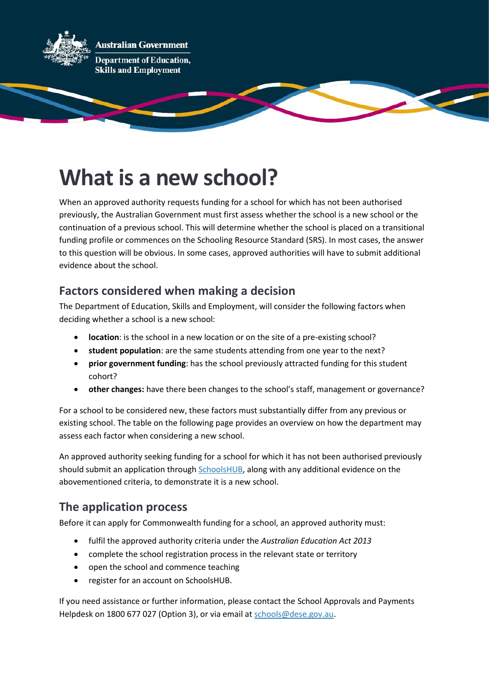

## **What is a new school?**

When an approved authority requests funding for a school for which has not been authorised previously, the Australian Government must first assess whether the school is a new school or the continuation of a previous school. This will determine whether the school is placed on a transitional funding profile or commences on the Schooling Resource Standard (SRS). In most cases, the answer to this question will be obvious. In some cases, approved authorities will have to submit additional evidence about the school.

## **Factors considered when making a decision**

The Department of Education, Skills and Employment, will consider the following factors when deciding whether a school is a new school:

- **location**: is the school in a new location or on the site of a pre-existing school?
- **student population**: are the same students attending from one year to the next?
- **prior government funding**: has the school previously attracted funding for this student cohort?
- **other changes:** have there been changes to the school's staff, management or governance?

For a school to be considered new, these factors must substantially differ from any previous or existing school. The table on the following page provides an overview on how the department may assess each factor when considering a new school.

An approved authority seeking funding for a school for which it has not been authorised previously should submit an application throug[h SchoolsHUB,](https://schools.education.gov.au/) along with any additional evidence on the abovementioned criteria, to demonstrate it is a new school.

## **The application process**

Before it can apply for Commonwealth funding for a school, an approved authority must:

- fulfil the approved authority criteria under the *Australian Education Act 2013*
- complete the school registration process in the relevant state or territory
- open the school and commence teaching
- register for an account on SchoolsHUB.

If you need assistance or further information, please contact the School Approvals and Payments Helpdesk on 1800 677 027 (Option 3), or via email at [schools@dese.gov.au.](mailto:schools@dese.gov.au)